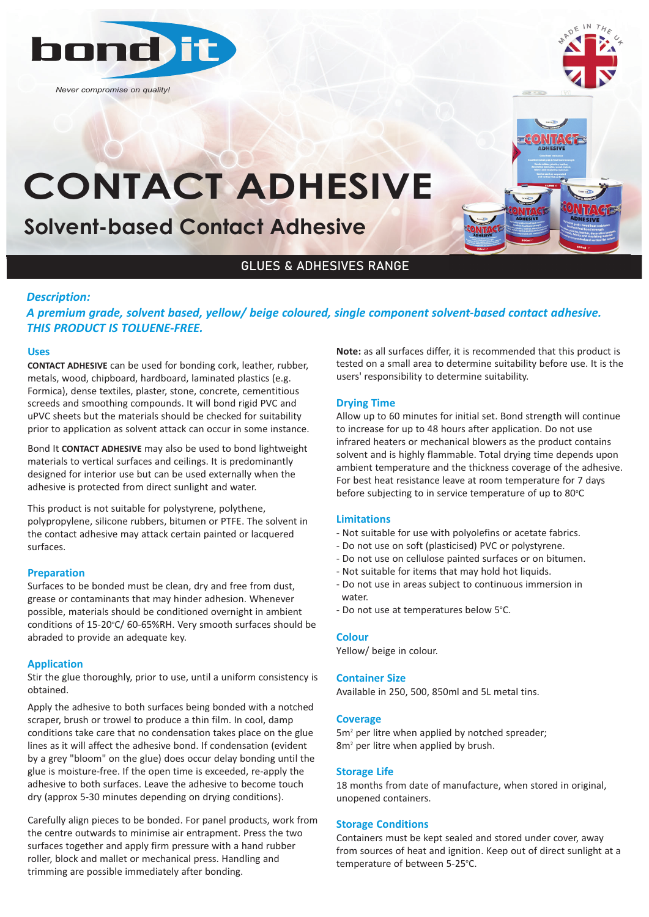

*Never compromise on quality!*



# **CONTACT ADHESIVE**

## **Solvent-based Contact Adhesive**

### GLUES & ADHESIVES RANGE

#### *Description:*

*A premium grade, solvent based, yellow/ beige coloured, single component solvent‐based contact adhesive. THIS PRODUCT IS TOLUENE‐FREE.*

#### **Uses**

**CONTACT ADHESIVE** can be used for bonding cork, leather, rubber, metals, wood, chipboard, hardboard, laminated plastics (e.g. Formica), dense textiles, plaster, stone, concrete, cementitious screeds and smoothing compounds. It will bond rigid PVC and uPVC sheets but the materials should be checked for suitability prior to application as solvent attack can occur in some instance.

Bond It **CONTACT ADHESIVE** may also be used to bond lightweight materials to vertical surfaces and ceilings. It is predominantly designed for interior use but can be used externally when the adhesive is protected from direct sunlight and water.

This product is not suitable for polystyrene, polythene, polypropylene, silicone rubbers, bitumen or PTFE. The solvent in the contact adhesive may attack certain painted or lacquered surfaces.

#### **Preparation**

Surfaces to be bonded must be clean, dry and free from dust, grease or contaminants that may hinder adhesion. Whenever possible, materials should be conditioned overnight in ambient conditions of 15-20°C/ 60-65%RH. Very smooth surfaces should be abraded to provide an adequate key.

#### **Application**

Stir the glue thoroughly, prior to use, until a uniform consistency is obtained.

Apply the adhesive to both surfaces being bonded with a notched scraper, brush or trowel to produce a thin film. In cool, damp conditions take care that no condensation takes place on the glue lines as it will affect the adhesive bond. If condensation (evident by a grey "bloom" on the glue) does occur delay bonding until the glue is moisture-free. If the open time is exceeded, re-apply the adhesive to both surfaces. Leave the adhesive to become touch dry (approx 5-30 minutes depending on drying conditions).

Carefully align pieces to be bonded. For panel products, work from the centre outwards to minimise air entrapment. Press the two surfaces together and apply firm pressure with a hand rubber roller, block and mallet or mechanical press. Handling and trimming are possible immediately after bonding.

**Note:** as all surfaces differ, it is recommended that this product is tested on a small area to determine suitability before use. It is the users' responsibility to determine suitability.

#### **Drying Time**

Allow up to 60 minutes for initial set. Bond strength will continue to increase for up to 48 hours after application. Do not use infrared heaters or mechanical blowers as the product contains solvent and is highly flammable. Total drying time depends upon ambient temperature and the thickness coverage of the adhesive. For best heat resistance leave at room temperature for 7 days before subjecting to in service temperature of up to 80°C

#### **Limitations**

- Not suitable for use with polyolefins or acetate fabrics.
- Do not use on soft (plasticised) PVC or polystyrene.
- Do not use on cellulose painted surfaces or on bitumen.
- Not suitable for items that may hold hot liquids.
- Do not use in areas subject to continuous immersion in water.
- Do not use at temperatures below 5°C.

#### **Colour**

Yellow/ beige in colour.

#### **Container Size**

Available in 250, 500, 850ml and 5L metal tins.

#### **Coverage**

5m<sup>2</sup> per litre when applied by notched spreader; 8m<sup>2</sup> per litre when applied by brush.

#### **Storage Life**

18 months from date of manufacture, when stored in original, unopened containers.

#### **Storage Conditions**

Containers must be kept sealed and stored under cover, away from sources of heat and ignition. Keep out of direct sunlight at a temperature of between 5-25°C.